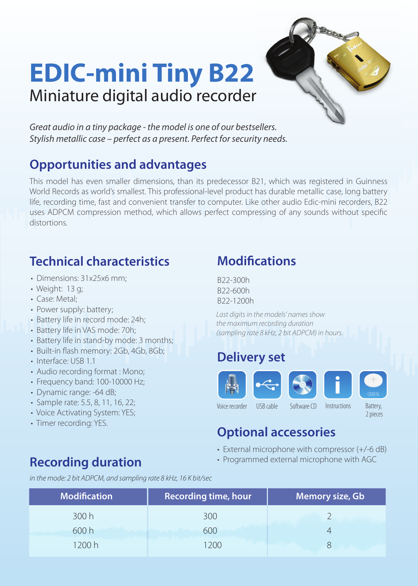## **EDIC-mini Tiny B22** Miniature digital audio recorder



*Great audio in a tiny package - the model is one of our bestsellers. Stylish metallic case – perfect as a present. Perfect for security needs.*

#### **Opportunities and advantages**

This model has even smaller dimensions, than its predecessor B21, which was registered in Guinness World Records as world's smallest. This professional-level product has durable metallic case, long battery life, recording time, fast and convenient transfer to computer. Like other audio Edic-mini recorders, B22 uses ADPCM compression method, which allows perfect compressing of any sounds without specific distortions.

#### **Technical characteristics**

- Dimensions: 31x25x6 mm;
- Weight: 13 g;
- Case: Metal;
- Power supply: battery;
- Battery life in record mode: 24h;
- Battery life in VAS mode: 70h;
- Battery life in stand-by mode: 3 months;
- Built-in flash memory: 2Gb, 4Gb, 8Gb;
- Interface: USB 1.1
- Audio recording format : Mono;
- Frequency band: 100-10000 Hz;
- Dynamic range: -64 dB;
- Sample rate: 5.5, 8, 11, 16, 22;
- Voice Activating System: YES;
- Timer recording: YES.

### **Recording duration**

**Modifications** 

B22-300h B22-600h B22-1200h

*Last digits in the models' names show the maximum recording duration (sampling rate 8 kHz, 2 bit ADPCM) in hours.*

#### **Delivery set**



2 pieces

#### **Optional accessories**

- External microphone with compressor (+/-6 dB)
- Programmed external microphone with AGC

*in the mode: 2 bit ADPCM, and sampling rate 8 kHz, 16 K bit/sec*

| <b>Modification</b> | <b>Recording time, hour</b> | <b>Memory size, Gb</b> |
|---------------------|-----------------------------|------------------------|
| 300h                | 300                         |                        |
| 600h                | 600                         |                        |
| 1200 h              | 200                         |                        |